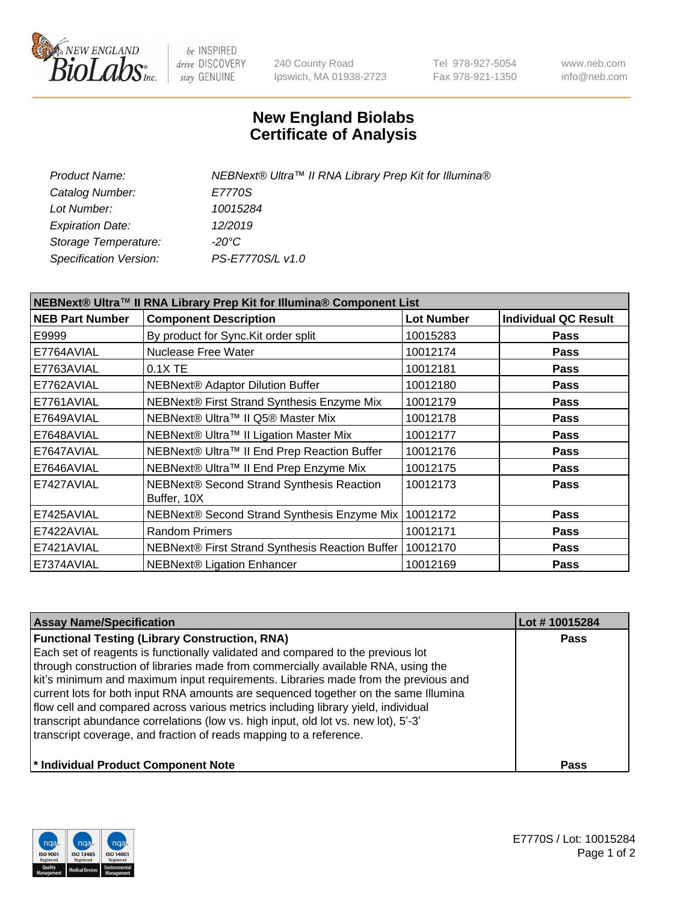

be INSPIRED drive DISCOVERY stay GENUINE

240 County Road Ipswich, MA 01938-2723 Tel 978-927-5054 Fax 978-921-1350 www.neb.com info@neb.com

## **New England Biolabs Certificate of Analysis**

| NEBNext® Ultra™ II RNA Library Prep Kit for Illumina® |
|-------------------------------------------------------|
| E7770S                                                |
| 10015284                                              |
| 12/2019                                               |
| -20°C                                                 |
| PS-E7770S/L v1.0                                      |
|                                                       |

| NEBNext® Ultra™ II RNA Library Prep Kit for Illumina® Component List |                                                            |                   |                             |  |
|----------------------------------------------------------------------|------------------------------------------------------------|-------------------|-----------------------------|--|
| <b>NEB Part Number</b>                                               | <b>Component Description</b>                               | <b>Lot Number</b> | <b>Individual QC Result</b> |  |
| E9999                                                                | By product for Sync. Kit order split                       | 10015283          | <b>Pass</b>                 |  |
| E7764AVIAL                                                           | Nuclease Free Water                                        | 10012174          | <b>Pass</b>                 |  |
| E7763AVIAL                                                           | 0.1X TE                                                    | 10012181          | <b>Pass</b>                 |  |
| E7762AVIAL                                                           | <b>NEBNext® Adaptor Dilution Buffer</b>                    | 10012180          | <b>Pass</b>                 |  |
| E7761AVIAL                                                           | NEBNext® First Strand Synthesis Enzyme Mix                 | 10012179          | <b>Pass</b>                 |  |
| E7649AVIAL                                                           | NEBNext® Ultra™ II Q5® Master Mix                          | 10012178          | <b>Pass</b>                 |  |
| E7648AVIAL                                                           | NEBNext® Ultra™ II Ligation Master Mix                     | 10012177          | <b>Pass</b>                 |  |
| E7647AVIAL                                                           | NEBNext® Ultra™ II End Prep Reaction Buffer                | 10012176          | <b>Pass</b>                 |  |
| E7646AVIAL                                                           | NEBNext® Ultra™ II End Prep Enzyme Mix                     | 10012175          | <b>Pass</b>                 |  |
| E7427AVIAL                                                           | NEBNext® Second Strand Synthesis Reaction<br>Buffer, 10X   | 10012173          | <b>Pass</b>                 |  |
| E7425AVIAL                                                           | NEBNext® Second Strand Synthesis Enzyme Mix                | 10012172          | <b>Pass</b>                 |  |
| E7422AVIAL                                                           | <b>Random Primers</b>                                      | 10012171          | Pass                        |  |
| E7421AVIAL                                                           | NEBNext® First Strand Synthesis Reaction Buffer   10012170 |                   | <b>Pass</b>                 |  |
| E7374AVIAL                                                           | <b>NEBNext® Ligation Enhancer</b>                          | 10012169          | <b>Pass</b>                 |  |

| <b>Assay Name/Specification</b>                                                                                                                                                                                                                                                                                                                                                                                                                                                                                                                                                                                                                             | Lot #10015284 |
|-------------------------------------------------------------------------------------------------------------------------------------------------------------------------------------------------------------------------------------------------------------------------------------------------------------------------------------------------------------------------------------------------------------------------------------------------------------------------------------------------------------------------------------------------------------------------------------------------------------------------------------------------------------|---------------|
| <b>Functional Testing (Library Construction, RNA)</b><br>Each set of reagents is functionally validated and compared to the previous lot<br>through construction of libraries made from commercially available RNA, using the<br>kit's minimum and maximum input requirements. Libraries made from the previous and<br>current lots for both input RNA amounts are sequenced together on the same Illumina<br>flow cell and compared across various metrics including library yield, individual<br>transcript abundance correlations (low vs. high input, old lot vs. new lot), 5'-3'<br>transcript coverage, and fraction of reads mapping to a reference. | <b>Pass</b>   |
| * Individual Product Component Note                                                                                                                                                                                                                                                                                                                                                                                                                                                                                                                                                                                                                         | <b>Pass</b>   |